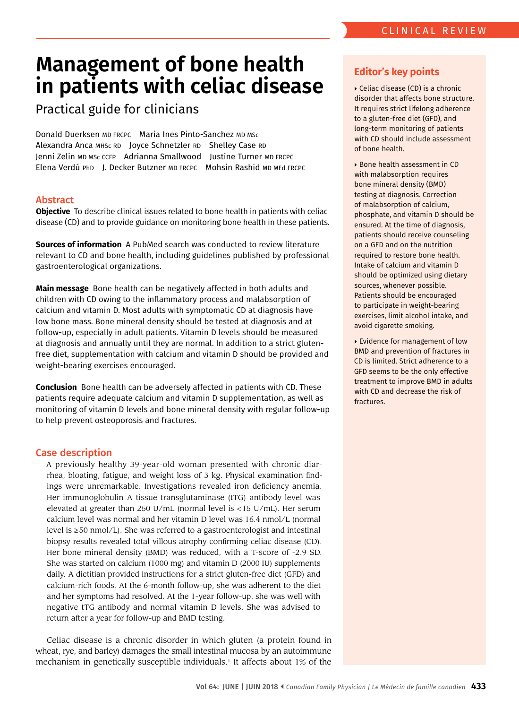# **Management of bone health in patients with celiac disease**

## Practical guide for clinicians

Donald Duerksen MD FRCPC Maria Ines Pinto-Sanchez MD MSc Alexandra Anca MHSc RD Joyce Schnetzler RD Shelley Case RD Donald Duerksen mb FRCPC - Maria Ines Pinto-Sanchez mb msc<br>Alexandra Anca mнsc RD - Joyce Schnetzler RD - Shelley Case RD<br>Jenni Zelin mb msc ccFP - Adrianna Smallwood - Justine Turner mb FRCPC<br>Elena Verdú PhD - J. Decker B

## Abstract

**Objective** To describe clinical issues related to bone health in patients with celiac disease (CD) and to provide guidance on monitoring bone health in these patients.

**Sources of information** A PubMed search was conducted to review literature relevant to CD and bone health, including guidelines published by professional gastroenterological organizations.

**Main message** Bone health can be negatively affected in both adults and children with CD owing to the infammatory process and malabsorption of calcium and vitamin D. Most adults with symptomatic CD at diagnosis have low bone mass. Bone mineral density should be tested at diagnosis and at follow-up, especially in adult patients. Vitamin D levels should be measured at diagnosis and annually until they are normal. In addition to a strict glutenfree diet, supplementation with calcium and vitamin D should be provided and weight-bearing exercises encouraged.

**Conclusion** Bone health can be adversely affected in patients with CD. These patients require adequate calcium and vitamin D supplementation, as well as monitoring of vitamin D levels and bone mineral density with regular follow-up to help prevent osteoporosis and fractures.

#### Case description

 ings were unremarkable. Investigations revealed iron defciency anemia. Her bone mineral density (BMD) was reduced, with a T-score of -2.9 SD. A previously healthy 39-year-old woman presented with chronic diarrhea, bloating, fatigue, and weight loss of 3 kg. Physical examination fnd-Her immunoglobulin A tissue transglutaminase (tTG) antibody level was elevated at greater than 250 U/mL (normal level is <15 U/mL). Her serum calcium level was normal and her vitamin D level was 16.4 nmol/L (normal level is ≥50 nmol/L). She was referred to a gastroenterologist and intestinal biopsy results revealed total villous atrophy confrming celiac disease (CD). She was started on calcium (1000 mg) and vitamin D (2000 IU) supplements daily. A dietitian provided instructions for a strict gluten-free diet (GFD) and calcium-rich foods. At the 6-month follow-up, she was adherent to the diet and her symptoms had resolved. At the 1-year follow-up, she was well with negative tTG antibody and normal vitamin D levels. She was advised to return after a year for follow-up and BMD testing.

Celiac disease is a chronic disorder in which gluten (a protein found in wheat, rye, and barley) damages the small intestinal mucosa by an autoimmune mechanism in genetically susceptible individuals.<sup>1</sup> It affects about 1% of the

## **Editor's key points**

 Celiac disease (CD) is a chronic disorder that affects bone structure. It requires strict lifelong adherence to a gluten-free diet (GFD), and long-term monitoring of patients with CD should include assessment of bone health.

 Bone health assessment in CD with malabsorption requires bone mineral density (BMD) testing at diagnosis. Correction of malabsorption of calcium, phosphate, and vitamin D should be ensured. At the time of diagnosis, patients should receive counseling on a GFD and on the nutrition required to restore bone health. Intake of calcium and vitamin D should be optimized using dietary sources, whenever possible. Patients should be encouraged to participate in weight-bearing exercises, limit alcohol intake, and avoid cigarette smoking.

 Evidence for management of low BMD and prevention of fractures in CD is limited. Strict adherence to a GFD seems to be the only effective treatment to improve BMD in adults with CD and decrease the risk of fractures.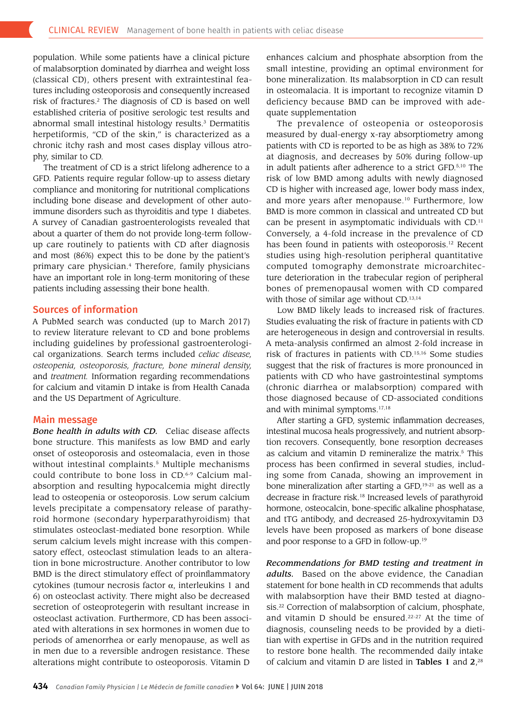population. While some patients have a clinical picture of malabsorption dominated by diarrhea and weight loss (classical CD), others present with extraintestinal features including osteoporosis and consequently increased risk of fractures.<sup>2</sup> The diagnosis of CD is based on well established criteria of positive serologic test results and abnormal small intestinal histology results.<sup>3</sup> Dermatitis herpetiformis, "CD of the skin," is characterized as a chronic itchy rash and most cases display villous atrophy, similar to CD.

 and most (86%) expect this to be done by the patient's The treatment of CD is a strict lifelong adherence to a GFD. Patients require regular follow-up to assess dietary compliance and monitoring for nutritional complications including bone disease and development of other autoimmune disorders such as thyroiditis and type 1 diabetes. A survey of Canadian gastroenterologists revealed that about a quarter of them do not provide long-term followup care routinely to patients with CD after diagnosis primary care physician.4 Therefore, family physicians have an important role in long-term monitoring of these patients including assessing their bone health.

### Sources of information

A PubMed search was conducted (up to March 2017) to review literature relevant to CD and bone problems including guidelines by professional gastroenterological organizations. Search terms included *celiac disease, osteopenia, osteoporosis, fracture, bone mineral density,*  and *treatment.* Information regarding recommendations for calcium and vitamin D intake is from Health Canada and the US Department of Agriculture.

#### Main message

 roid hormone (secondary hyperparathyroidism) that *Bone health in adults with CD.* Celiac disease affects bone structure. This manifests as low BMD and early onset of osteoporosis and osteomalacia, even in those without intestinal complaints.<sup>5</sup> Multiple mechanisms could contribute to bone loss in CD.<sup>6-9</sup> Calcium malabsorption and resulting hypocalcemia might directly lead to osteopenia or osteoporosis. Low serum calcium levels precipitate a compensatory release of parathystimulates osteoclast-mediated bone resorption. While serum calcium levels might increase with this compensatory effect, osteoclast stimulation leads to an alteration in bone microstructure. Another contributor to low BMD is the direct stimulatory effect of proinfammatory cytokines (tumour necrosis factor α, interleukins 1 and 6) on osteoclast activity. There might also be decreased secretion of osteoprotegerin with resultant increase in osteoclast activation. Furthermore, CD has been associated with alterations in sex hormones in women due to periods of amenorrhea or early menopause, as well as in men due to a reversible androgen resistance. These alterations might contribute to osteoporosis. Vitamin D

enhances calcium and phosphate absorption from the small intestine, providing an optimal environment for bone mineralization. Its malabsorption in CD can result in osteomalacia. It is important to recognize vitamin D deficiency because BMD can be improved with adequate supplementation

 risk of low BMD among adults with newly diagnosed The prevalence of osteopenia or osteoporosis measured by dual-energy x-ray absorptiometry among patients with CD is reported to be as high as 38% to 72% at diagnosis, and decreases by 50% during follow-up in adult patients after adherence to a strict GFD.5,10 The CD is higher with increased age, lower body mass index, and more years after menopause.<sup>10</sup> Furthermore, low BMD is more common in classical and untreated CD but can be present in asymptomatic individuals with CD.11 Conversely, a 4-fold increase in the prevalence of CD has been found in patients with osteoporosis.<sup>12</sup> Recent studies using high-resolution peripheral quantitative computed tomography demonstrate microarchitecture deterioration in the trabecular region of peripheral bones of premenopausal women with CD compared with those of similar age without CD.<sup>13,14</sup>

Low BMD likely leads to increased risk of fractures. Studies evaluating the risk of fracture in patients with CD are heterogeneous in design and controversial in results. A meta-analysis confrmed an almost 2-fold increase in risk of fractures in patients with CD.15,16 Some studies suggest that the risk of fractures is more pronounced in patients with CD who have gastrointestinal symptoms (chronic diarrhea or malabsorption) compared with those diagnosed because of CD-associated conditions and with minimal symptoms.17,18

 as calcium and vitamin D remineralize the matrix.5 This After starting a GFD, systemic infammation decreases, intestinal mucosa heals progressively, and nutrient absorption recovers. Consequently, bone resorption decreases process has been confirmed in several studies, including some from Canada, showing an improvement in bone mineralization after starting a GFD,<sup>19-21</sup> as well as a decrease in fracture risk.18 Increased levels of parathyroid hormone, osteocalcin, bone-specifc alkaline phosphatase, and tTG antibody, and decreased 25-hydroxyvitamin D3 levels have been proposed as markers of bone disease and poor response to a GFD in [follow-up.19](https://follow-up.19)

 with malabsorption have their BMD tested at diagno-*Recommendations for BMD testing and treatment in adults.* Based on the above evidence, the Canadian statement for bone health in CD recommends that adults sis.<sup>22</sup> Correction of malabsorption of calcium, phosphate, and vitamin D should be ensured.<sup>22-27</sup> At the time of diagnosis, counseling needs to be provided by a dietitian with expertise in GFDs and in the nutrition required to restore bone health. The recommended daily intake of calcium and vitamin D are listed in **Tables 1** and  $2^{28}$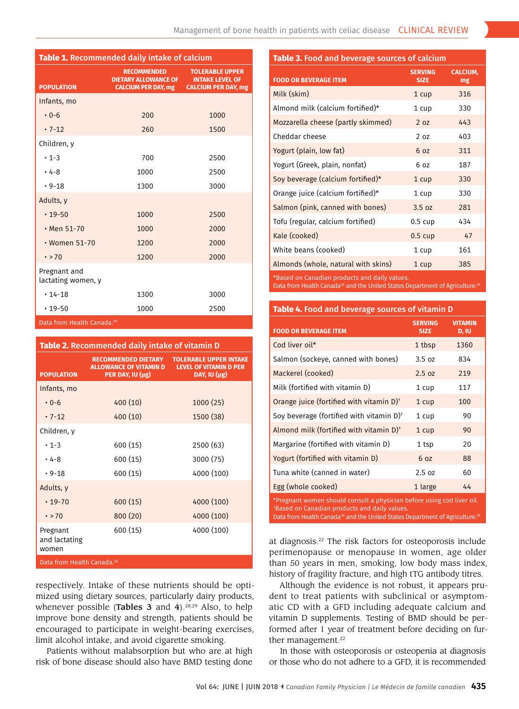| <b>Table 1.</b> Recommended daily intake of calcium |                                                                                 |                                                                                |  |  |  |  |
|-----------------------------------------------------|---------------------------------------------------------------------------------|--------------------------------------------------------------------------------|--|--|--|--|
| <b>POPULATION</b>                                   | <b>RECOMMENDED</b><br><b>DIETARY ALLOWANCE OF</b><br><b>CALCIUM PER DAY, mg</b> | <b>TOLERABLE UPPER</b><br><b>INTAKE LEVEL OF</b><br><b>CALCIUM PER DAY, mg</b> |  |  |  |  |
| Infants, mo                                         |                                                                                 |                                                                                |  |  |  |  |
| $0 - 6$                                             | 200                                                                             | 1000                                                                           |  |  |  |  |
| $.7 - 12$                                           | 260                                                                             | 1500                                                                           |  |  |  |  |
| Children, y                                         |                                                                                 |                                                                                |  |  |  |  |
| $\cdot$ 1-3                                         | 700                                                                             | 2500                                                                           |  |  |  |  |
| $.4 - 8$                                            | 1000                                                                            | 2500                                                                           |  |  |  |  |
| $.9 - 18$                                           | 1300                                                                            | 3000                                                                           |  |  |  |  |
| Adults, y                                           |                                                                                 |                                                                                |  |  |  |  |
| $\cdot$ 19-50                                       | 1000                                                                            | 2500                                                                           |  |  |  |  |
| $·$ Men 51-70                                       | 1000                                                                            | 2000                                                                           |  |  |  |  |
| • Women 51-70                                       | 1200                                                                            | 2000                                                                           |  |  |  |  |
| $\cdot$ > 70                                        | 1200                                                                            | 2000                                                                           |  |  |  |  |
| Pregnant and<br>lactating women, y                  |                                                                                 |                                                                                |  |  |  |  |
| $\cdot$ 14-18                                       | 1300                                                                            | 3000                                                                           |  |  |  |  |
| $.19 - 50$                                          | 1000                                                                            | 2500                                                                           |  |  |  |  |
| 28 cheng Data from Health Canada                    |                                                                                 |                                                                                |  |  |  |  |

Data from Health Canada.<sup>28</sup>

| <b>Table 2.</b> Recommended daily intake of vitamin D |                                                                                 |                                                                                |  |  |  |
|-------------------------------------------------------|---------------------------------------------------------------------------------|--------------------------------------------------------------------------------|--|--|--|
| <b>POPULATION</b>                                     | <b>RECOMMENDED DIETARY</b><br><b>ALLOWANCE OF VITAMIN D</b><br>PER DAY, IU (µg) | <b>TOLERABLE UPPER INTAKE</b><br><b>LEVEL OF VITAMIN D PER</b><br>DAY, IU (µg) |  |  |  |
| Infants, mo                                           |                                                                                 |                                                                                |  |  |  |
| $0 - 6$                                               | 400(10)                                                                         | 1000(25)                                                                       |  |  |  |
| $.7 - 12$                                             | 400(10)                                                                         | 1500 (38)                                                                      |  |  |  |
| Children, y                                           |                                                                                 |                                                                                |  |  |  |
| $\cdot$ 1-3                                           | 600(15)                                                                         | 2500 (63)                                                                      |  |  |  |
| $• 4-8$                                               | 600(15)                                                                         | 3000 (75)                                                                      |  |  |  |
| $.9 - 18$                                             | 600 (15)                                                                        | 4000 (100)                                                                     |  |  |  |
| Adults, y                                             |                                                                                 |                                                                                |  |  |  |
| $\cdot$ 19-70                                         | 600(15)                                                                         | 4000 (100)                                                                     |  |  |  |
| $\cdot$ > 70                                          | 800(20)                                                                         | 4000 (100)                                                                     |  |  |  |
| Pregnant<br>and lactating<br>women                    | 600 (15)                                                                        | 4000 (100)                                                                     |  |  |  |
| Data from Health Canada. <sup>28</sup>                |                                                                                 |                                                                                |  |  |  |

respectively. Intake of these nutrients should be optimized using dietary sources, particularly dairy products, whenever possible (Tables 3 and 4). $28,29$  Also, to help improve bone density and strength, patients should be encouraged to participate in weight-bearing exercises, limit alcohol intake, and avoid cigarette smoking.

Patients without malabsorption but who are at high risk of bone disease should also have BMD testing done

#### **Table 3.** Food and beverage sources of calcium

| <b>FOOD OR BEVERAGE ITEM</b>        | <b>SERVING</b><br><b>SIZE</b> | <b>CALCIUM,</b><br>mg |
|-------------------------------------|-------------------------------|-----------------------|
| Milk (skim)                         | 1 cup                         | 316                   |
| Almond milk (calcium fortified)*    | 1 cup                         | 330                   |
| Mozzarella cheese (partly skimmed)  | 2 <sub>0z</sub>               | 443                   |
| Cheddar cheese                      | 2 <sub>0z</sub>               | 403                   |
| Yogurt (plain, low fat)             | 6 <sub>0z</sub>               | 311                   |
| Yogurt (Greek, plain, nonfat)       | 6 oz                          | 187                   |
| Soy beverage (calcium fortified)*   | 1 cup                         | 330                   |
| Orange juice (calcium fortified)*   | 1 cup                         | 330                   |
| Salmon (pink, canned with bones)    | 3.5 oz                        | 281                   |
| Tofu (regular, calcium fortified)   | $0.5 \text{ cup}$             | 434                   |
| Kale (cooked)                       | $0.5 \text{ cup}$             | 47                    |
| White beans (cooked)                | 1 cup                         | 161                   |
| Almonds (whole, natural with skins) | 1 cup                         | 385                   |

\*Based on Canadian products and daily values.

Data from Health Canada<sup>28</sup> and the United States Department of Agriculture.<sup>29</sup>

#### **Table 4.** Food and beverage sources of vitamin D

| <b>FOOD OR BEVERAGE ITEM</b>                                                                                                                                                                                                    | <b>SERVING</b><br><b>SIZE</b> | <b>VITAMIN</b><br>D, IU |  |  |
|---------------------------------------------------------------------------------------------------------------------------------------------------------------------------------------------------------------------------------|-------------------------------|-------------------------|--|--|
| Cod liver oil*                                                                                                                                                                                                                  | 1 tbsp                        | 1360                    |  |  |
| Salmon (sockeye, canned with bones)                                                                                                                                                                                             | 3.5 oz                        | 834                     |  |  |
| Mackerel (cooked)                                                                                                                                                                                                               | 2.5 oz                        | 219                     |  |  |
| Milk (fortified with vitamin D)                                                                                                                                                                                                 | 1 cup                         | 117                     |  |  |
| Orange juice (fortified with vitamin D) <sup>+</sup>                                                                                                                                                                            | 1 cup                         | 100                     |  |  |
| Soy beverage (fortified with vitamin $D$ ) <sup>+</sup>                                                                                                                                                                         | 1 cup                         | 90                      |  |  |
| Almond milk (fortified with vitamin $D$ ) <sup>+</sup>                                                                                                                                                                          | 1 cup                         | 90                      |  |  |
| Margarine (fortified with vitamin D)                                                                                                                                                                                            | 1 tsp                         | 20                      |  |  |
| Yogurt (fortified with vitamin D)                                                                                                                                                                                               | 6 <sub>0z</sub>               | 88                      |  |  |
| Tuna white (canned in water)                                                                                                                                                                                                    | 2.5 oz                        | 60                      |  |  |
| Egg (whole cooked)                                                                                                                                                                                                              | 1 large                       | 44                      |  |  |
| *Pregnant women should consult a physician before using cod liver oil.<br>*Based on Canadian products and daily values.<br>Data from Health Canada <sup>28</sup> and the United States Department of Agriculture. <sup>29</sup> |                               |                         |  |  |

at diagnosis.<sup>22</sup> The risk factors for osteoporosis include perimenopause or menopause in women, age older than 50 years in men, smoking, low body mass index, history of fragility fracture, and high tTG antibody titres.

 Although the evidence is not robust, it appears prudent to treat patients with subclinical or asymptomatic CD with a GFD including adequate calcium and vitamin D supplements. Testing of BMD should be performed after 1 year of treatment before deciding on further management.<sup>22</sup>

In those with osteoporosis or osteopenia at diagnosis or those who do not adhere to a GFD, it is recommended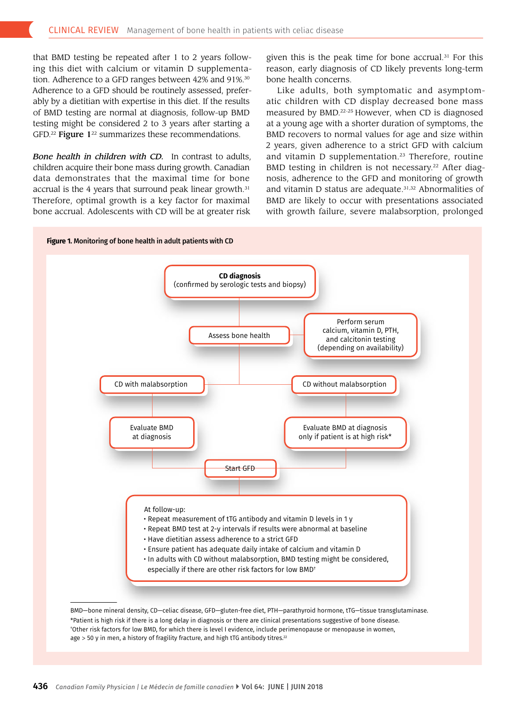that BMD testing be repeated after 1 to 2 years following this diet with calcium or vitamin D supplementation. Adherence to a GFD ranges between 42% and 91%.<sup>30</sup> Adherence to a GFD should be routinely assessed, preferably by a dietitian with expertise in this diet. If the results of BMD testing are normal at diagnosis, follow-up BMD testing might be considered 2 to 3 years after starting a GFD.<sup>22</sup> Figure  $1^{22}$  summarizes these recommendations.

 Therefore, optimal growth is a key factor for maximal *Bone health in children with CD.* In contrast to adults, children acquire their bone mass during growth. Canadian data demonstrates that the maximal time for bone accrual is the 4 years that surround peak linear growth.<sup>31</sup> bone accrual. Adolescents with CD will be at greater risk

given this is the peak time for bone accrual.<sup>31</sup> For this reason, early diagnosis of CD likely prevents long-term bone health concerns.

Like adults, both symptomatic and asymptomatic children with CD display decreased bone mass measured by BMD.22-25 However, when CD is diagnosed at a young age with a shorter duration of symptoms, the BMD recovers to normal values for age and size within 2 years, given adherence to a strict GFD with calcium and vitamin D supplementation.<sup>23</sup> Therefore, routine BMD testing in children is not necessary.<sup>22</sup> After diagnosis, adherence to the GFD and monitoring of growth and vitamin D status are adequate.31,32 Abnormalities of BMD are likely to occur with presentations associated with growth failure, severe malabsorption, prolonged



BMD—bone mineral density, CD—celiac disease, GFD—gluten-free diet, PTH—parathyroid hormone, tTG—tissue transglutaminase. \*Patient is high risk if there is a long delay in diagnosis or there are clinical presentations suggestive of bone disease. † Other risk factors for low BMD, for which there is level I evidence, include perimenopause or menopause in women,  $age > 50$  y in men, a history of fragility fracture, and high tTG antibody titres.<sup>22</sup>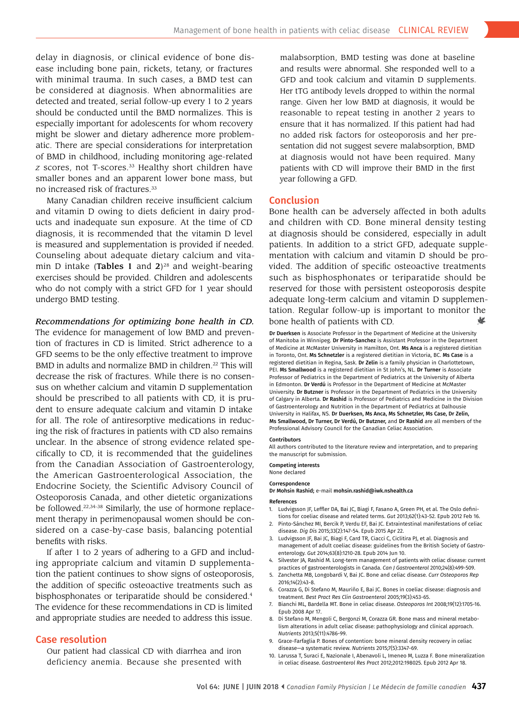be considered at diagnosis. When abnormalities are delay in diagnosis, or clinical evidence of bone disease including bone pain, rickets, tetany, or fractures with minimal trauma. In such cases, a BMD test can detected and treated, serial follow-up every 1 to 2 years should be conducted until the BMD normalizes. This is especially important for adolescents for whom recovery might be slower and dietary adherence more problematic. There are special considerations for interpretation of BMD in childhood, including monitoring age-related *z* scores, not [T-scores.33](https://T-scores.33) Healthy short children have smaller bones and an apparent lower bone mass, but no increased risk of [fractures.33](https://fractures.33)

Many Canadian children receive insuffcient calcium and vitamin D owing to diets defcient in dairy products and inadequate sun exposure. At the time of CD diagnosis, it is recommended that the vitamin D level is measured and supplementation is provided if needed. Counseling about adequate dietary calcium and vitamin D intake (Tables 1 and  $2^{28}$  and weight-bearing exercises should be provided. Children and adolescents who do not comply with a strict GFD for 1 year should undergo BMD testing.

*Recommendations for optimizing bone health in CD.*  The evidence for management of low BMD and prevention of fractures in CD is limited. Strict adherence to a GFD seems to be the only effective treatment to improve BMD in adults and normalize BMD in children.<sup>22</sup> This will decrease the risk of fractures. While there is no consensus on whether calcium and vitamin D supplementation should be prescribed to all patients with CD, it is prudent to ensure adequate calcium and vitamin D intake for all. The role of antiresorptive medications in reducing the risk of fractures in patients with CD also remains unclear. In the absence of strong evidence related specifcally to CD, it is recommended that the guidelines from the Canadian Association of Gastroenterology, the American Gastroenterological Association, the Endocrine Society, the Scientific Advisory Council of Osteoporosis Canada, and other dietetic organizations be followed.22,34-38 Similarly, the use of hormone replacement therapy in perimenopausal women should be considered on a case-by-case basis, balancing potential benefts with risks.

If after 1 to 2 years of adhering to a GFD and including appropriate calcium and vitamin D supplementation the patient continues to show signs of osteoporosis, the addition of specifc osteoactive treatments such as bisphosphonates or teriparatide should be considered.4 The evidence for these recommendations in CD is limited and appropriate studies are needed to address this issue.

#### Case resolution

Our patient had classical CD with diarrhea and iron deficiency anemia. Because she presented with malabsorption, BMD testing was done at baseline and results were abnormal. She responded well to a GFD and took calcium and vitamin D supplements. Her tTG antibody levels dropped to within the normal range. Given her low BMD at diagnosis, it would be reasonable to repeat testing in another 2 years to ensure that it has normalized. If this patient had had no added risk factors for osteoporosis and her presentation did not suggest severe malabsorption, BMD at diagnosis would not have been required. Many patients with CD will improve their BMD in the frst year following a GFD.

#### Conclusion

₩ Bone health can be adversely affected in both adults and children with CD. Bone mineral density testing at diagnosis should be considered, especially in adult patients. In addition to a strict GFD, adequate supplementation with calcium and vitamin D should be provided. The addition of specifc osteoactive treatments such as bisphosphonates or teriparatide should be reserved for those with persistent osteoporosis despite adequate long-term calcium and vitamin D supplementation. Regular follow-up is important to monitor the bone health of patients with CD.

Dr Duerksen is Associate Professor in the Department of Medicine at the University of Manitoba in Winnipeg. Dr Pinto-Sanchez is Assistant Professor in the Department of Medicine at McMaster University in Hamilton, Ont. Ms Anca is a registered dietitian in Toronto, Ont. Ms Schnetzler is a registered dietitian in Victoria, BC. Ms Case is a registered dietitian in Regina, Sask. Dr Zelin is a family physician in Charlottetown, PEI. Ms Smallwood is a registered dietitian in St John's, NL. Dr Turner is Associate Professor of Pediatrics in the Department of Pediatrics at the University of Alberta in Edmonton. Dr Verdú is Professor in the Department of Medicine at McMaster University. Dr Butzner is Professor in the Department of Pediatrics in the University of Calgary in Alberta. Dr Rashid is Professor of Pediatrics and Medicine in the Division of Gastroenterology and Nutrition in the Department of Pediatrics at Dalhousie University in Halifax, NS. Dr Duerksen, Ms Anca, Ms Schnetzler, Ms Case, Dr Zelin, Ms Smallwood, Dr Turner, Dr Verdú, Dr Butzner, and Dr Rashid are all members of the Professional Advisory Council for the Canadian Celiac Association.

#### Contributors

All authors contributed to the literature review and interpretation, and to preparing the manuscript for submission.

Competing interests None declared

## Correspondence

Dr Mohsin Rashid; e-mail [mohsin.rashid@iwk.nshealth.ca](mailto:mohsin.rashid@iwk.nshealth.ca)

#### References

- 1. Ludvigsson JF, Leffer DA, Bai JC, Biagi F, Fasano A, Green PH, et al. The Oslo defnitions for coeliac disease and related terms. *Gut* 2013;62(1):43-52. Epub 2012 Feb 16.
- 2. Pinto-Sánchez MI, Bercik P, Verdu EF, Bai JC. Extraintestinal manifestations of celiac disease. *Dig Dis* 2015;33(2):147-54. Epub 2015 Apr 22.
- 3. Ludvigsson JF, Bai JC, Biagi F, Card TR, Ciacci C, Ciclitira PJ, et al. Diagnosis and management of adult coeliac disease: guidelines from the British Society of Gastroenterology. *Gut* 2014;63(8):1210-28. Epub 2014 Jun 10.
- 4. Silvester JA, Rashid M. Long-term management of patients with celiac disease: current practices of gastroenterologists in Canada. *Can J Gastroenterol* 2010;24(8):499-509.
- 5. Zanchetta MB, Longobardi V, Bai JC. Bone and celiac disease. *Curr Osteoporos Rep*  2016;14(2):43-8.
- 6. Corazza G, Di Stefano M, Mauriño E, Bai JC. Bones in coeliac disease: diagnosis and treatment. *Best Pract Res Clin Gastroenterol* 2005;19(3):453-65.
- 7. Bianchi ML, Bardella MT. Bone in celiac disease. *Osteoporos Int* 2008;19(12):1705-16. Epub 2008 Apr 17.
- 8. Di Stefano M, Mengoli C, Bergonzi M, Corazza GR. Bone mass and mineral metabolism alterations in adult celiac disease: pathophysiology and clinical approach. *Nutrients* 2013;5(11):4786-99.
- 9. Grace-Farfaglia P. Bones of contention: bone mineral density recovery in celiac disease—a systematic review. *Nutrients* 2015;7(5):3347-69.
- 10. Larussa T, Suraci E, Nazionale I, Abenavoli L, Imeneo M, Luzza F. Bone mineralization in celiac disease. *Gastroenterol Res Pract* 2012;2012:198025. Epub 2012 Apr 18.